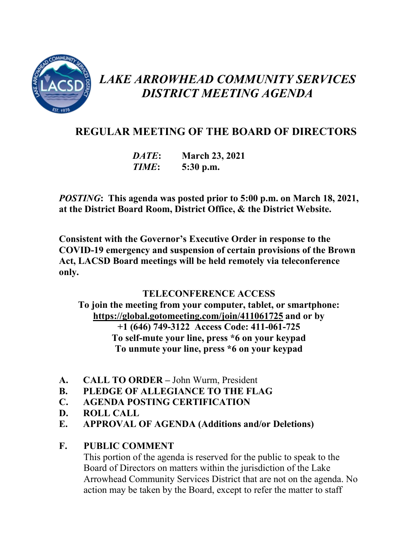

# *LAKE ARROWHEAD COMMUNITY SERVICES DISTRICT MEETING AGENDA*

# **REGULAR MEETING OF THE BOARD OF DIRECTORS**

*DATE***: March 23, 2021** *TIME***: 5:30 p.m.**

*POSTING***: This agenda was posted prior to 5:00 p.m. on March 18, 2021, at the District Board Room, District Office, & the District Website.**

**Consistent with the Governor's Executive Order in response to the COVID-19 emergency and suspension of certain provisions of the Brown Act, LACSD Board meetings will be held remotely via teleconference only.**

# **TELECONFERENCE ACCESS**

**To join the meeting from your computer, tablet, or smartphone: <https://global.gotomeeting.com/join/411061725> and or by [+1 \(646\) 749-3122](tel:+16467493122,,411061725) Access Code: 411-061-725 To self-mute your line, press \*6 on your keypad To unmute your line, press \*6 on your keypad**

- **A. CALL TO ORDER –** John Wurm, President
- **B. PLEDGE OF ALLEGIANCE TO THE FLAG**
- **C. AGENDA POSTING CERTIFICATION**
- **D. ROLL CALL**
- **E. APPROVAL OF AGENDA (Additions and/or Deletions)**

# **F. PUBLIC COMMENT**

This portion of the agenda is reserved for the public to speak to the Board of Directors on matters within the jurisdiction of the Lake Arrowhead Community Services District that are not on the agenda. No action may be taken by the Board, except to refer the matter to staff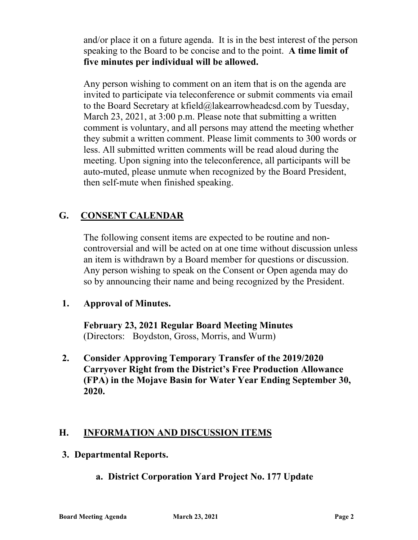and/or place it on a future agenda. It is in the best interest of the person speaking to the Board to be concise and to the point. **A time limit of five minutes per individual will be allowed.**

Any person wishing to comment on an item that is on the agenda are invited to participate via teleconference or submit comments via email to the Board Secretary at kfield@lakearrowheadcsd.com by Tuesday, March 23, 2021, at 3:00 p.m. Please note that submitting a written comment is voluntary, and all persons may attend the meeting whether they submit a written comment. Please limit comments to 300 words or less. All submitted written comments will be read aloud during the meeting. Upon signing into the teleconference, all participants will be auto-muted, please unmute when recognized by the Board President, then self-mute when finished speaking.

# **G. CONSENT CALENDAR**

The following consent items are expected to be routine and noncontroversial and will be acted on at one time without discussion unless an item is withdrawn by a Board member for questions or discussion. Any person wishing to speak on the Consent or Open agenda may do so by announcing their name and being recognized by the President.

#### **1. Approval of Minutes.**

**February 23, 2021 Regular Board Meeting Minutes** (Directors: Boydston, Gross, Morris, and Wurm)

**2. Consider Approving Temporary Transfer of the 2019/2020 Carryover Right from the District's Free Production Allowance (FPA) in the Mojave Basin for Water Year Ending September 30, 2020.** 

# **H. INFORMATION AND DISCUSSION ITEMS**

#### **3. Departmental Reports.**

#### **a. District Corporation Yard Project No. 177 Update**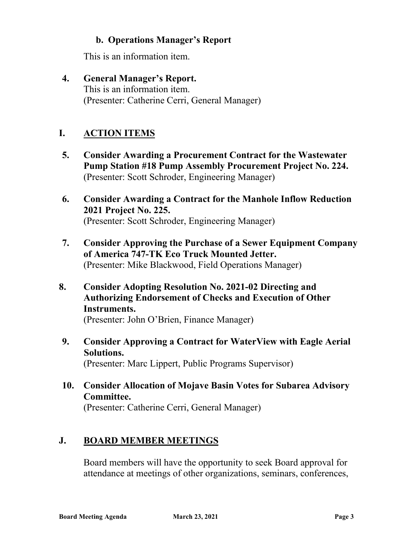#### **b. Operations Manager's Report**

This is an information item.

**4. General Manager's Report.** This is an information item. (Presenter: Catherine Cerri, General Manager)

# **I. ACTION ITEMS**

- **5. Consider Awarding a Procurement Contract for the Wastewater Pump Station #18 Pump Assembly Procurement Project No. 224.** (Presenter: Scott Schroder, Engineering Manager)
- **6. Consider Awarding a Contract for the Manhole Inflow Reduction 2021 Project No. 225.** (Presenter: Scott Schroder, Engineering Manager)
- **7. Consider Approving the Purchase of a Sewer Equipment Company of America 747-TK Eco Truck Mounted Jetter.** (Presenter: Mike Blackwood, Field Operations Manager)
- **8. Consider Adopting Resolution No. 2021-02 Directing and Authorizing Endorsement of Checks and Execution of Other Instruments.**

(Presenter: John O'Brien, Finance Manager)

- **9. Consider Approving a Contract for WaterView with Eagle Aerial Solutions.** (Presenter: Marc Lippert, Public Programs Supervisor)
- **10. Consider Allocation of Mojave Basin Votes for Subarea Advisory Committee.** (Presenter: Catherine Cerri, General Manager)

# **J. BOARD MEMBER MEETINGS**

Board members will have the opportunity to seek Board approval for attendance at meetings of other organizations, seminars, conferences,